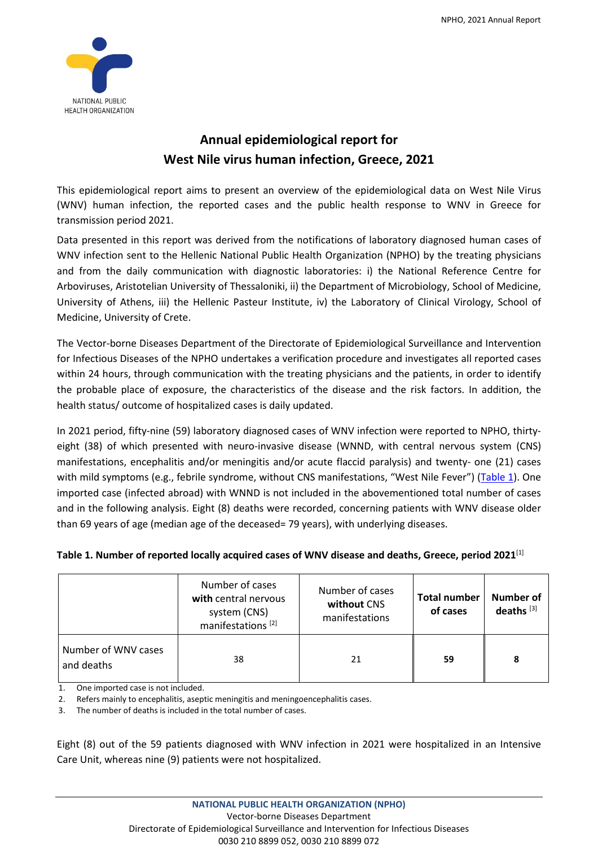

## **Annual epidemiological report for West Nile virus human infection, Greece, 2021**

This epidemiological report aims to present an overview of the epidemiological data on West Nile Virus (WNV) human infection, the reported cases and the public health response to WNV in Greece for transmission period 2021.

Data presented in this report was derived from the notifications of laboratory diagnosed human cases of WNV infection sent to the Hellenic National Public Health Organization (NPHO) by the treating physicians and from the daily communication with diagnostic laboratories: i) the National Reference Centre for Arboviruses, Aristotelian University of Thessaloniki, ii) the Department of Microbiology, School of Medicine, University of Athens, iii) the Hellenic Pasteur Institute, iv) the Laboratory of Clinical Virology, School of Medicine, University of Crete.

The Vector-borne Diseases Department of the Directorate of Epidemiological Surveillance and Intervention for Infectious Diseases of the NPHO undertakes a verification procedure and investigates all reported cases within 24 hours, through communication with the treating physicians and the patients, in order to identify the probable place of exposure, the characteristics of the disease and the risk factors. In addition, the health status/ outcome of hospitalized cases is daily updated.

In 2021 period, fifty-nine (59) laboratory diagnosed cases of WNV infection were reported to NPHO, thirtyeight (38) of which presented with neuro-invasive disease (WNND, with central nervous system (CNS) manifestations, encephalitis and/or meningitis and/or acute flaccid paralysis) and twenty- one (21) cases with mild symptoms (e.g., febrile syndrome, without CNS manifestations, "West Nile Fever") (Table 1). One imported case (infected abroad) with WNND is not included in the abovementioned total number of cases and in the following analysis. Eight (8) deaths were recorded, concerning patients with WNV disease older than 69 years of age (median age of the deceased= 79 years), with underlying diseases.

|                                   | Number of cases<br>with central nervous<br>system (CNS)<br>manifestations <sup>[2]</sup> | Number of cases<br>without CNS<br>manifestations | <b>Total number</b><br>of cases | Number of<br>deaths $[3]$ |
|-----------------------------------|------------------------------------------------------------------------------------------|--------------------------------------------------|---------------------------------|---------------------------|
| Number of WNV cases<br>and deaths | 38                                                                                       | 21                                               | 59                              | 8                         |

## **Table 1. Number of reported locally acquired cases of WNV disease and deaths, Greece, period 2021** [1]

1. One imported case is not included.

2. Refers mainly to encephalitis, aseptic meningitis and meningoencephalitis cases.

3. The number of deaths is included in the total number of cases.

Eight (8) out of the 59 patients diagnosed with WNV infection in 2021 were hospitalized in an Intensive Care Unit, whereas nine (9) patients were not hospitalized.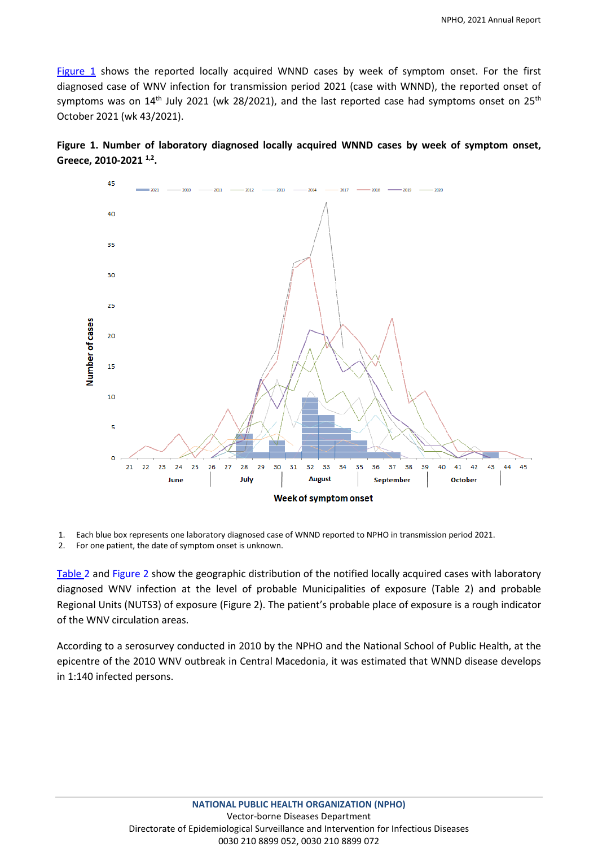Figure 1 shows the reported locally acquired WNND cases by week of symptom onset. For the first diagnosed case of WNV infection for transmission period 2021 (case with WNND), the reported onset of symptoms was on 14<sup>th</sup> July 2021 (wk 28/2021), and the last reported case had symptoms onset on 25<sup>th</sup> October 2021 (wk 43/2021).





1. Each blue box represents one laboratory diagnosed case of WNND reported to NPHO in transmission period 2021.

2. For one patient, the date of symptom onset is unknown.

Table 2 and Figure 2 show the geographic distribution of the notified locally acquired cases with laboratory diagnosed WNV infection at the level of probable Municipalities of exposure (Table 2) and probable Regional Units (NUTS3) of exposure (Figure 2). The patient's probable place of exposure is a rough indicator of the WNV circulation areas.

According to a serosurvey conducted in 2010 by the NPHO and the National School of Public Health, at the epicentre of the 2010 WNV outbreak in Central Macedonia, it was estimated that WNND disease develops in 1:140 infected persons.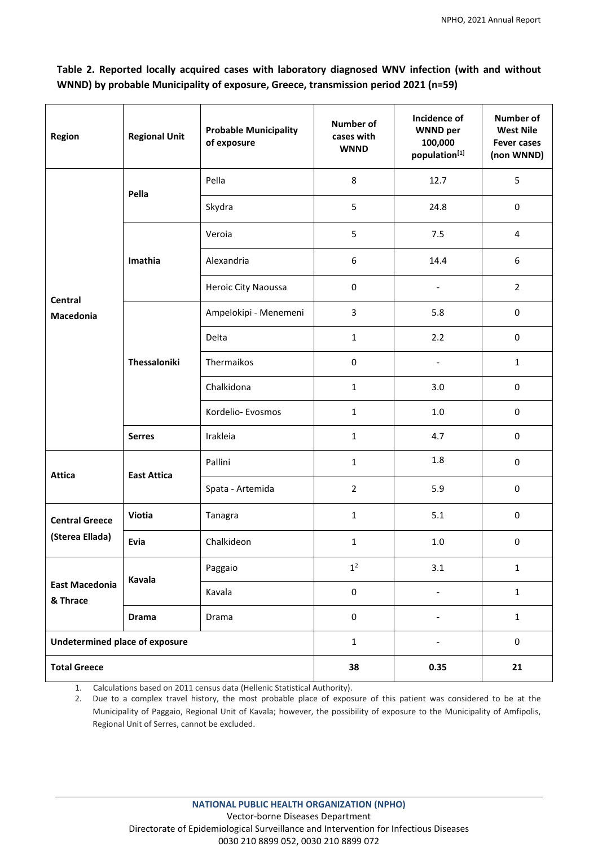**Table 2. Reported locally acquired cases with laboratory diagnosed WNV infection (with and without WNND) by probable Municipality of exposure, Greece, transmission period 2021 (n=59)**

| Region                                | <b>Regional Unit</b> | <b>Probable Municipality</b><br>of exposure | <b>Number of</b><br>cases with<br><b>WNND</b> | Incidence of<br><b>WNND</b> per<br>100,000<br>population[1] | Number of<br><b>West Nile</b><br><b>Fever cases</b><br>(non WNND) |
|---------------------------------------|----------------------|---------------------------------------------|-----------------------------------------------|-------------------------------------------------------------|-------------------------------------------------------------------|
|                                       | Pella                | Pella                                       | 8                                             | 12.7                                                        | 5                                                                 |
|                                       |                      | Skydra                                      | 5                                             | 24.8                                                        | 0                                                                 |
|                                       | Imathia              | Veroia                                      | 5                                             | 7.5                                                         | 4                                                                 |
| <b>Central</b><br>Macedonia           |                      | Alexandria                                  | 6                                             | 14.4                                                        | 6                                                                 |
|                                       |                      | Heroic City Naoussa                         | $\pmb{0}$                                     |                                                             | $\overline{2}$                                                    |
|                                       | Thessaloniki         | Ampelokipi - Menemeni                       | 3                                             | 5.8                                                         | 0                                                                 |
|                                       |                      | Delta                                       | $\mathbf{1}$                                  | 2.2                                                         | $\mathsf{O}\xspace$                                               |
|                                       |                      | Thermaikos                                  | 0                                             | $\overline{\phantom{a}}$                                    | $\mathbf{1}$                                                      |
|                                       |                      | Chalkidona                                  | $\mathbf{1}$                                  | 3.0                                                         | 0                                                                 |
|                                       |                      | Kordelio- Evosmos                           | $\mathbf{1}$                                  | 1.0                                                         | 0                                                                 |
|                                       | <b>Serres</b>        | Irakleia                                    | $\mathbf{1}$                                  | 4.7                                                         | 0                                                                 |
| <b>Attica</b>                         | <b>East Attica</b>   | Pallini                                     | $\mathbf{1}$                                  | 1.8                                                         | 0                                                                 |
|                                       |                      | Spata - Artemida                            | $\overline{2}$                                | 5.9                                                         | 0                                                                 |
| <b>Central Greece</b>                 | Viotia               | Tanagra                                     | $\mathbf{1}$                                  | 5.1                                                         | $\pmb{0}$                                                         |
| (Sterea Ellada)                       | Evia                 | Chalkideon                                  | 1                                             | $1.0$                                                       | 0                                                                 |
| <b>East Macedonia</b><br>& Thrace     | Kavala               | Paggaio                                     | 1 <sup>2</sup>                                | 3.1                                                         | $\mathbf{1}$                                                      |
|                                       |                      | Kavala                                      | $\pmb{0}$                                     |                                                             | $\mathbf{1}$                                                      |
|                                       | <b>Drama</b>         | Drama                                       | $\pmb{0}$                                     |                                                             | $\mathbf{1}$                                                      |
| <b>Undetermined place of exposure</b> |                      | $\mathbf 1$                                 |                                               | $\mathsf{O}\xspace$                                         |                                                                   |
| <b>Total Greece</b>                   |                      |                                             | 38                                            | 0.35                                                        | 21                                                                |

1. Calculations based on 2011 census data (Hellenic Statistical Authority).

2. Due to a complex travel history, the most probable place of exposure of this patient was considered to be at the Municipality of Paggaio, Regional Unit of Kavala; however, the possibility of exposure to the Municipality of Amfipolis, Regional Unit of Serres, cannot be excluded.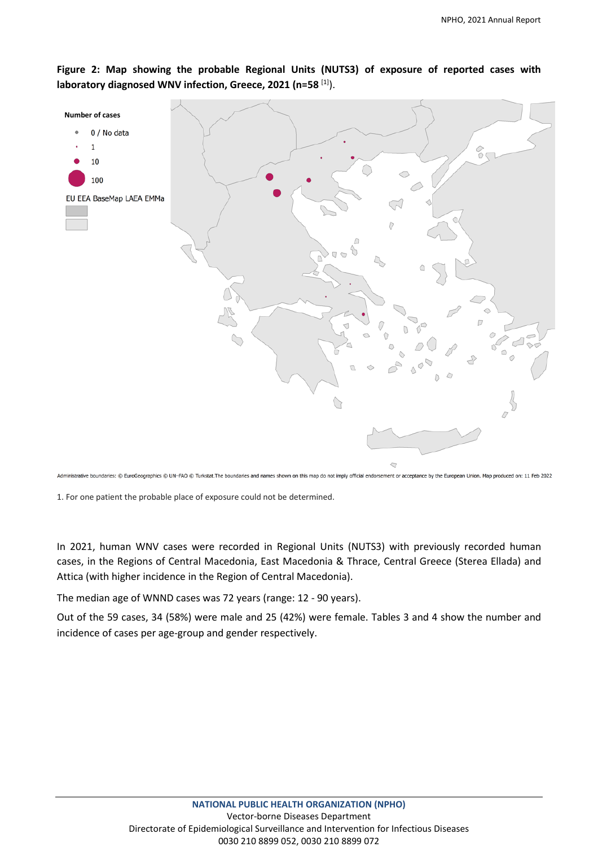**Figure 2: Map showing the probable Regional Units (NUTS3) of exposure of reported cases with laboratory diagnosed WNV infection, Greece, 2021 (n=58** [1]).



Administrative boundaries: © EuroGeographics © UN-FAO © Turkstat. The boundaries and names shown on this map do not imply official endorsement or acceptance by the European Union. Map produced on: 11 Feb 2022

1. For one patient the probable place of exposure could not be determined.

In 2021, human WNV cases were recorded in Regional Units (NUTS3) with previously recorded human cases, in the Regions of Central Macedonia, East Macedonia & Thrace, Central Greece (Sterea Ellada) and Attica (with higher incidence in the Region of Central Macedonia).

The median age of WNND cases was 72 years (range: 12 - 90 years).

Out of the 59 cases, 34 (58%) were male and 25 (42%) were female. Tables 3 and 4 show the number and incidence of cases per age-group and gender respectively.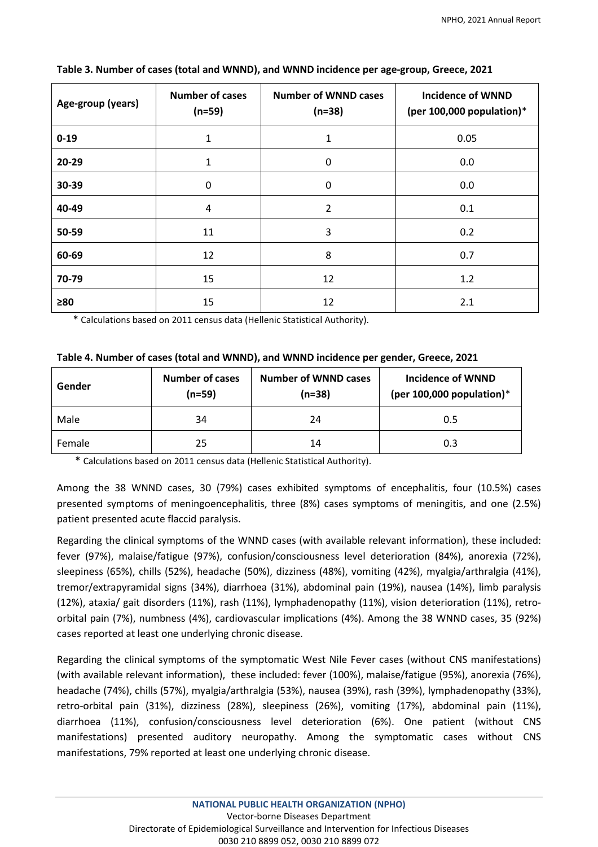| Age-group (years) | <b>Number of cases</b><br>$(n=59)$ | <b>Number of WNND cases</b><br>$(n=38)$ | <b>Incidence of WNND</b><br>(per 100,000 population)* |
|-------------------|------------------------------------|-----------------------------------------|-------------------------------------------------------|
| $0 - 19$          | 1                                  | 1                                       | 0.05                                                  |
| 20-29             | 1                                  | $\mathbf 0$                             | 0.0                                                   |
| 30-39             | 0                                  | $\mathbf 0$                             | 0.0                                                   |
| 40-49             | 4                                  | 2                                       | 0.1                                                   |
| 50-59             | 11                                 | 3                                       | 0.2                                                   |
| 60-69             | 12                                 | 8                                       | 0.7                                                   |
| 70-79             | 15                                 | 12                                      | 1.2                                                   |
| $\geq 80$         | 15                                 | 12                                      | 2.1                                                   |

**Table 3. Number of cases (total and WNND), and WNND incidence per age-group, Greece, 2021**

\* Calculations based on 2011 census data (Hellenic Statistical Authority).

| Gender | <b>Number of cases</b><br>$(n=59)$ | <b>Number of WNND cases</b><br>$(n=38)$ | <b>Incidence of WNND</b><br>(per 100,000 population)* |
|--------|------------------------------------|-----------------------------------------|-------------------------------------------------------|
| Male   | 34                                 | 24                                      | 0.5                                                   |
| Female | 25                                 | 14                                      | 0.3                                                   |

\* Calculations based on 2011 census data (Hellenic Statistical Authority).

Among the 38 WNND cases, 30 (79%) cases exhibited symptoms of encephalitis, four (10.5%) cases presented symptoms of meningoencephalitis, three (8%) cases symptoms of meningitis, and one (2.5%) patient presented acute flaccid paralysis.

Regarding the clinical symptoms of the WNND cases (with available relevant information), these included: fever (97%), malaise/fatigue (97%), confusion/consciousness level deterioration (84%), anorexia (72%), sleepiness (65%), chills (52%), headache (50%), dizziness (48%), vomiting (42%), myalgia/arthralgia (41%), tremor/extrapyramidal signs (34%), diarrhoea (31%), abdominal pain (19%), nausea (14%), limb paralysis (12%), ataxia/ gait disorders (11%), rash (11%), lymphadenopathy (11%), vision deterioration (11%), retroorbital pain (7%), numbness (4%), cardiovascular implications (4%). Among the 38 WNND cases, 35 (92%) cases reported at least one underlying chronic disease.

Regarding the clinical symptoms of the symptomatic West Nile Fever cases (without CNS manifestations) (with available relevant information), these included: fever (100%), malaise/fatigue (95%), anorexia (76%), headache (74%), chills (57%), myalgia/arthralgia (53%), nausea (39%), rash (39%), lymphadenopathy (33%), retro-orbital pain (31%), dizziness (28%), sleepiness (26%), vomiting (17%), abdominal pain (11%), diarrhoea (11%), confusion/consciousness level deterioration (6%). One patient (without CNS manifestations) presented auditory neuropathy. Among the symptomatic cases without CNS manifestations, 79% reported at least one underlying chronic disease.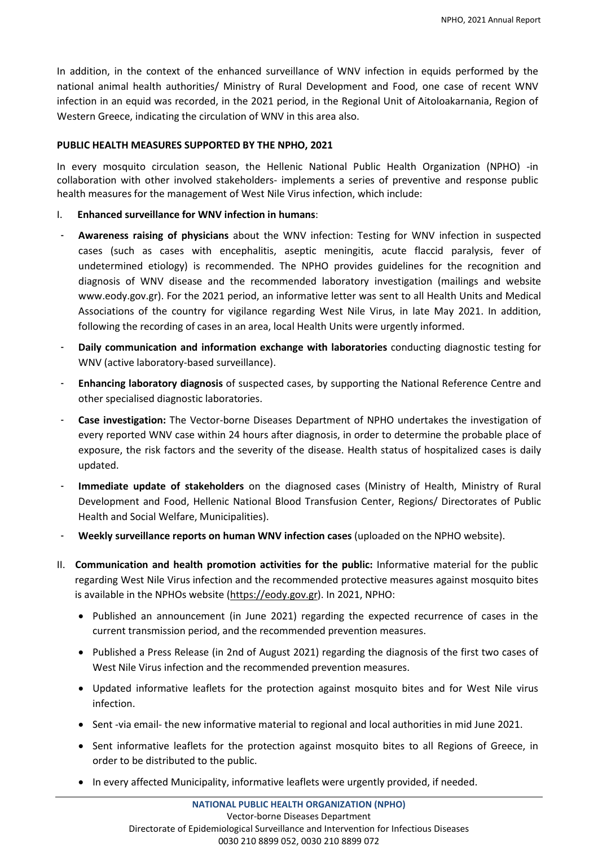In addition, in the context of the enhanced surveillance of WNV infection in equids performed by the national animal health authorities/ Ministry of Rural Development and Food, one case of recent WNV infection in an equid was recorded, in the 2021 period, in the Regional Unit of Aitoloakarnania, Region of Western Greece, indicating the circulation of WNV in this area also.

## **PUBLIC HEALTH MEASURES SUPPORTED BY THE NPHO, 2021**

In every mosquito circulation season, the Hellenic National Public Health Organization (NPHO) -in collaboration with other involved stakeholders- implements a series of preventive and response public health measures for the management of West Nile Virus infection, which include:

- I. **Enhanced surveillance for WNV infection in humans**:
- ‐ **Awareness raising of physicians** about the WNV infection: Testing for WNV infection in suspected cases (such as cases with encephalitis, aseptic meningitis, acute flaccid paralysis, fever of undetermined etiology) is recommended. The NPHO provides guidelines for the recognition and diagnosis of WNV disease and the recommended laboratory investigation (mailings and website [www.eody.gov.gr\)](http://www.eody.gov.gr/). For the 2021 period, an informative letter was sent to all Health Units and Medical Associations of the country for vigilance regarding West Nile Virus, in late May 2021. In addition, following the recording of cases in an area, local Health Units were urgently informed.
- ‐ **Daily communication and information exchange with laboratories** conducting diagnostic testing for WNV (active laboratory-based surveillance).
- ‐ **Enhancing laboratory diagnosis** of suspected cases, by supporting the National Reference Centre and other specialised diagnostic laboratories.
- ‐ **Case investigation:** The Vector-borne Diseases Department of NPHO undertakes the investigation of every reported WNV case within 24 hours after diagnosis, in order to determine the probable place of exposure, the risk factors and the severity of the disease. Health status of hospitalized cases is daily updated.
- ‐ **Immediate update of stakeholders** on the diagnosed cases (Ministry of Health, Ministry of Rural Development and Food, Hellenic National Blood Transfusion Center, Regions/ Directorates of Public Health and Social Welfare, Municipalities).
- ‐ **Weekly surveillance reports on human WNV infection cases** (uploaded on the NPHO website).
- II. **Communication and health promotion activities for the public:** Informative material for the public regarding West Nile Virus infection and the recommended protective measures against mosquito bites is available in the NPHOs website [\(https://eody.gov.gr\)](https://eody.gov.gr/). In 2021, NPHO:
	- Published an announcement (in June 2021) regarding the expected recurrence of cases in the current transmission period, and the recommended prevention measures.
	- Published a Press Release (in 2nd of August 2021) regarding the diagnosis of the first two cases of West Nile Virus infection and the recommended prevention measures.
	- Updated informative leaflets for the protection against mosquito bites and for West Nile virus infection.
	- Sent -via email- the new informative material to regional and local authorities in mid June 2021.
	- Sent informative leaflets for the protection against mosquito bites to all Regions of Greece, in order to be distributed to the public.
	- In every affected Municipality, informative leaflets were urgently provided, if needed.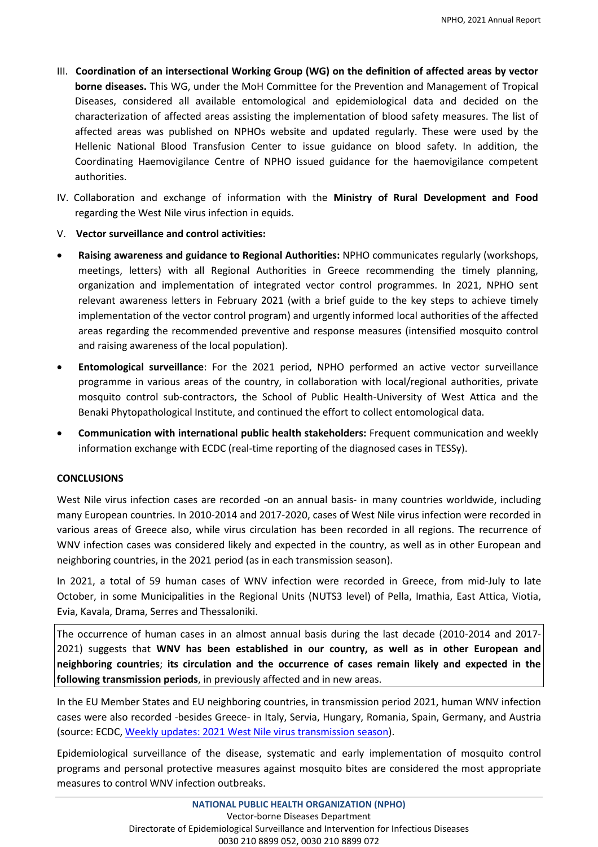- III. **Coordination of an intersectional Working Group (WG) on the definition of affected areas by vector borne diseases.** This WG, under the MoH Committee for the Prevention and Management of Tropical Diseases, considered all available entomological and epidemiological data and decided on the characterization of affected areas assisting the implementation of blood safety measures. The list of affected areas was published on NPHOs website and updated regularly. These were used by the Hellenic National Blood Transfusion Center to issue guidance on blood safety. In addition, the Coordinating Haemovigilance Centre of NPHO issued guidance for the haemovigilance competent authorities.
- IV.Collaboration and exchange of information with the **Ministry of Rural Development and Food** regarding the West Nile virus infection in equids.
- V. **Vector surveillance and control activities:**
- **Raising awareness and guidance to Regional Authorities:** NPHO communicates regularly (workshops, meetings, letters) with all Regional Authorities in Greece recommending the timely planning, organization and implementation of integrated vector control programmes. In 2021, NPHO sent relevant awareness letters in February 2021 (with a brief guide to the key steps to achieve timely implementation of the vector control program) and urgently informed local authorities of the affected areas regarding the recommended preventive and response measures (intensified mosquito control and raising awareness of the local population).
- **Entomological surveillance**: For the 2021 period, NPHO performed an active vector surveillance programme in various areas of the country, in collaboration with local/regional authorities, private mosquito control sub-contractors, the School of Public Health-University of West Attica and the Benaki Phytopathological Institute, and continued the effort to collect entomological data.
- **Communication with international public health stakeholders:** Frequent communication and weekly information exchange with ECDC (real-time reporting of the diagnosed cases in TESSy).

## **CONCLUSIONS**

West Nile virus infection cases are recorded -on an annual basis- in many countries worldwide, including many European countries. In 2010-2014 and 2017-2020, cases of West Nile virus infection were recorded in various areas of Greece also, while virus circulation has been recorded in all regions. The recurrence of WNV infection cases was considered likely and expected in the country, as well as in other European and neighboring countries, in the 2021 period (as in each transmission season).

In 2021, a total of 59 human cases of WNV infection were recorded in Greece, from mid-July to late October, in some Municipalities in the Regional Units (NUTS3 level) of Pella, Imathia, East Attica, Viotia, Evia, Kavala, Drama, Serres and Thessaloniki.

The occurrence of human cases in an almost annual basis during the last decade (2010-2014 and 2017- 2021) suggests that **WNV has been established in our country, as well as in other European and neighboring countries**; **its circulation and the occurrence of cases remain likely and expected in the following transmission periods**, in previously affected and in new areas.

In the EU Member States and EU neighboring countries, in transmission period 2021, human WNV infection cases were also recorded -besides Greece- in Italy, Servia, Hungary, Romania, Spain, Germany, and Austria (source: ECDC, Weekly updates: 2021 [West Nile virus transmission season\)](https://ecdc.europa.eu/en/west-nile-fever/surveillance-and-disease-data/disease-data-ecdc).

Epidemiological surveillance of the disease, systematic and early implementation of mosquito control programs and personal protective measures against mosquito bites are considered the most appropriate measures to control WNV infection outbreaks.